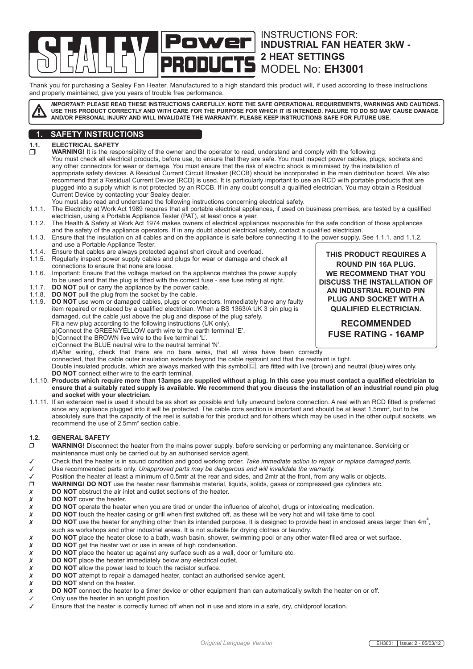Instructions for: Power **INDUSTRIAL FAN HEATER 3kW - 2 heat settings** MODEL No: **EH3001**

Thank you for purchasing a Sealey Fan Heater. Manufactured to a high standard this product will, if used according to these instructions and properly maintained, give you years of trouble free performance.

*IMPORTANT:* **PLEASE READ THESE INSTRUCTIONS CAREFULLY. NOTE THE SAFE OPERATIONAL REQUIREMENTS, WARNINGS AND CAUTIONS. USE THIS PRODUCT CORRECTLY AND WITH CARE FOR THE PURPOSE FOR WHICH IT IS INTENDED. FAILURE TO DO SO MAY CAUSE DAMAGE AND/OR PERSONAL INJURY AND WILL INVALIDATE THE WARRANTY. PLEASE KEEP INSTRUCTIONS SAFE FOR FUTURE USE.**

# **1. SAFETY INSTRUCTIONS**

**1.1. ELECTRICAL SAFETY**<br> **D WARNING!** It is the resp  **WARNING!** It is the responsibility of the owner and the operator to read, understand and comply with the following: You must check all electrical products, before use, to ensure that they are safe. You must inspect power cables, plugs, sockets and any other connectors for wear or damage. You must ensure that the risk of electric shock is minimised by the installation of appropriate safety devices. A Residual Current Circuit Breaker (RCCB) should be incorporated in the main distribution board. We also recommend that a Residual Current Device (RCD) is used. It is particularly important to use an RCD with portable products that are plugged into a supply which is not protected by an RCCB. If in any doubt consult a qualified electrician. You may obtain a Residual Current Device by contacting your Sealey dealer.

- You must also read and understand the following instructions concerning electrical safety.
- 1.1.1. The Electricity at Work Act 1989 requires that all portable electrical appliances, if used on business premises, are tested by a qualified electrician, using a Portable Appliance Tester (PAT), at least once a year.
- 1.1.2. The Health & Safety at Work Act 1974 makes owners of electrical appliances responsible for the safe condition of those appliances and the safety of the appliance operators. If in any doubt about electrical safety, contact a qualified electrician.
- 1.1.3. Ensure that the insulation on all cables and on the appliance is safe before connecting it to the power supply. See 1.1.1. and 1.1.2. and use a Portable Appliance Tester.
- 1.1.4. Ensure that cables are always protected against short circuit and overload.
- 1.1.5. Regularly inspect power supply cables and plugs for wear or damage and check all
- connections to ensure that none are loose.
- 1.1.6. Important: Ensure that the voltage marked on the appliance matches the power supply to be used and that the plug is fitted with the correct fuse - see fuse rating at right.
- 1.1.7. **DO NOT** pull or carry the appliance by the power cable.
- 1.1.8. **DO NOT** pull the plug from the socket by the cable.
- 1.1.9. **DO NOT** use worn or damaged cables, plugs or connectors. Immediately have any faulty item repaired or replaced by a qualified electrician. When a BS 1363/A UK 3 pin plug is damaged, cut the cable just above the plug and dispose of the plug safely. Fit a new plug according to the following instructions (UK only). a) Connect the GREEN/YELLOW earth wire to the earth terminal 'E'. b) Connect the BROWN live wire to the live terminal 'L'. c) Connect the BLUE neutral wire to the neutral terminal 'N'. d)After wiring, check that there are no bare wires, that all wires have been correctly connected, that the cable outer insulation extends beyond the cable restraint and that the restraint is tight. Double insulated products, which are always marked with this symbol $\Box$ , are fitted with live (brown) and neutral (blue) wires only. **DO NOT** connect either wire to the earth terminal.
- 1.1.10. **Products which require more than 13amps are supplied without a plug. In this case you must contact a qualified electrician to ensure that a suitably rated supply is available. We recommend that you discuss the installation of an industrial round pin plug and socket with your electrician.**
- 1.1.11. If an extension reel is used it should be as short as possible and fully unwound before connection. A reel with an RCD fitted is preferred since any appliance plugged into it will be protected. The cable core section is important and should be at least 1.5mm², but to be absolutely sure that the capacity of the reel is suitable for this product and for others which may be used in the other output sockets, we recommend the use of 2.5mm² section cable.

#### **1.2. GENERAL SAFETY**

- **WARNING!** Disconnect the heater from the mains power supply, before servicing or performing any maintenance. Servicing or maintenance must only be carried out by an authorised service agent.
- Check that the heater is in sound condition and good working order. *Take immediate action to repair or replace damaged parts.* Use recommended parts only. *Unapproved parts may be dangerous and will invalidate the warranty.*
- 
- $\checkmark$  Position the heater at least a minimum of 0.5mtr at the rear and sides, and 2mtr at the front, from any walls or objects.<br> **D** WARNING! DO NOT use the heater near flammable material. liquids. solids. gases or compre **WARNING! DO NOT** use the heater near flammable material, liquids, solids, gases or compressed gas cylinders etc.
- **DO NOT** obstruct the air inlet and outlet sections of the heater.<br>**DO NOT** cover the heater.
- **DO NOT** cover the heater.
- **DO NOT** operate the heater when you are tired or under the influence of alcohol, drugs or intoxicating medication.
- **DO NOT** touch the heater casing or grill when first switched off, as these will be very hot and will take time to cool.<br>**X** DO NOT use the heater for anything other than its intended purpose. It is designed to provide hea
- **DO NOT** use the heater for anything other than its intended purpose. It is designed to provide heat in enclosed areas larger than 4m<sup>3</sup>. such as workshops and other industrial areas. It is not suitable for drying clothes or laundry.
- **DO NOT** place the heater close to a bath, wash basin, shower, swimming pool or any other water-filled area or wet surface.
- **X** DO NOT get the heater wet or use in areas of high condensation.
- **DO NOT** place the heater up against any surface such as a wall, door or furniture etc.<br>**DO NOT** place the heater immediately below any electrical outlet.
- **DO NOT** place the heater immediately below any electrical outlet.<br>**DO NOT** allow the power lead to touch the radiator surface.
- **DO NOT** allow the power lead to touch the radiator surface.<br>**DO NOT** attempt to repair a damaged heater, contact an au
- **DO NOT** attempt to repair a damaged heater, contact an authorised service agent.
- 
- **DO NOT** stand on the heater.<br> **DO NOT** connect the heater t<br>  $\checkmark$  Only use the heater in an upri **DO NOT** connect the heater to a timer device or other equipment than can automatically switch the heater on or off.
- $\checkmark$  Only use the heater in an upright position.<br> $\checkmark$  Finsure that the heater is correctly turned of
- Ensure that the heater is correctly turned off when not in use and store in a safe, dry, childproof location.

**THIS PRODUCT REQUIRES A ROUND PIN 16A PLUG. WE RECOMMEND THAT YOU DISCUSS THE INSTALLATION OF AN INDUSTRIAL ROUND PIN PLUG AND SOCKET WITH A QUALIFIED ELECTRICIAN. RECOMMENDED FUSE RATING - 16AMP**